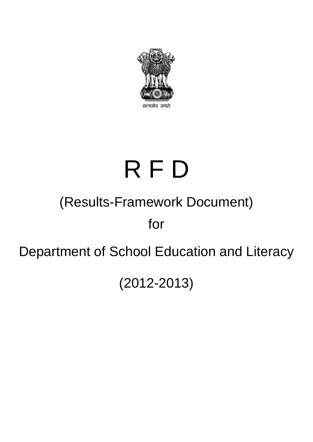

# R F D

# (Results-Framework Document)

for

# Department of School Education and Literacy

(2012-2013)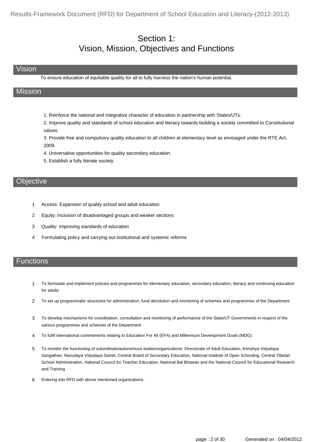# Section 1: Vision, Mission, Objectives and Functions

#### Vision

To ensure education of equitable quality for all to fully harness the nation's human potential.

#### Mission

1. Reinforce the national and integrative character of education in partnership with States/UTs.

2. Improve quality and standards of school education and literacy towards building a society committed to Constitutional values.

3. Provide free and compulsory quality education to all children at elementary level as envisaged under the RTE Act, 2009.

- 4. Universalise opportunities for quality secondary education.
- 5. Establish a fully literate society.

#### **Objective**

- 1 Access: Expansion of quality school and adult education
- 2 Equity: Inclusion of disadvantaged groups and weaker sections
- 3 Quality: Improving standards of education
- 4 Formulating policy and carrying out institutional and systemic reforms

#### **Functions**

- To formulate and implement policies and programmes for elementary education, secondary education, literacy and continuing education for adults 1
- 2 To set up programmatic structures for administration, fund devolution and monitoring of schemes and programmes of the Department
- To develop mechanisms for coordination, consultation and monitoring of performance of the State/UT Governments in respect of the various programmes and schemes of the Department 3
- 4 To fulfil international commitments relating to Education For All (EFA) and Millennium Development Goals (MDG)
- To monitor the functioning of subordinate/autonomous bodies/organizations: Directorate of Adult Education, Kendriya Vidyalaya Sangathan, Navodaya Vidyalaya Samiti, Central Board of Secondary Education, National Institute of Open Schooling, Central Tibetan School Administration, National Council for Teacher Education, National Bal Bhawan and the National Council for Educational Research and Training 5
- 6 Entering into RFD with above mentioned organizations.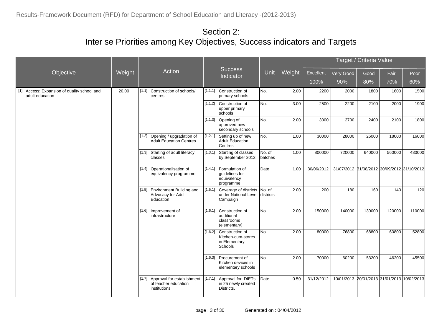|                                                                |        |                                                                             |         |                                                                                  |                   |        |            |                                             | Target / Criteria Value |        |        |  |
|----------------------------------------------------------------|--------|-----------------------------------------------------------------------------|---------|----------------------------------------------------------------------------------|-------------------|--------|------------|---------------------------------------------|-------------------------|--------|--------|--|
| <b>Objective</b>                                               | Weight | Action                                                                      |         | <b>Success</b><br>Indicator                                                      | Unit              | Weight | Excellent  | Very Good                                   | Good                    | Fair   | Poor   |  |
|                                                                |        |                                                                             |         |                                                                                  |                   |        | 100%       | 90%                                         | 80%                     | 70%    | 60%    |  |
| [1] Access: Expansion of quality school and<br>adult education | 20.00  | Construction of schools/<br>[1.1]<br>centres                                | [1.1.1] | Construction of<br>primary schools                                               | INo.              | 2.00   | 2200       | 2000                                        | 1800                    | 1600   | 1500   |  |
|                                                                |        |                                                                             |         | [1.1.2] Construction of<br>upper primary<br>schools                              | No.               | 3.00   | 2500       | 2200                                        | 2100                    | 2000   | 1900   |  |
|                                                                |        |                                                                             |         | $[1.1.3]$ Opening of<br>approved new<br>secondary schools                        | lNo.              | 2.00   | 3000       | 2700                                        | 2400                    | 2100   | 1800   |  |
|                                                                |        | [1.2] Opening / upgradation of<br><b>Adult Education Centres</b>            | [1.2.1] | Setting up of new<br>Adult Education<br>Centres                                  | No.               | 1.00   | 30000      | 28000                                       | 26000                   | 18000  | 16000  |  |
|                                                                |        | [1.3] Starting of adult literacy<br>classes                                 | [1.3.1] | Starting of classes<br>by September 2012                                         | No. of<br>batches | 1.00   | 800000     | 720000                                      | 640000                  | 560000 | 480000 |  |
|                                                                |        | [1.4] Operationalisation of<br>equivalency programme                        |         | [1.4.1] Formulation of<br>quidelines for<br>equivalency<br>programme             | Date              | 1.00   | 30/06/2012 | 31/07/2012 31/08/2012 30/09/2012 31/10/2012 |                         |        |        |  |
|                                                                |        | [1.5] Environment Building and<br>Advocacy for Adult<br>Education           | [1.5.1] | Coverage of districts<br>under National Level districts<br>Campaign              | No. of            | 2.00   | 200        | 180                                         | 160                     | 140    | 120    |  |
|                                                                |        | [1.6] Improvement of<br>infrastructure                                      | [1.6.1] | Construction of<br>additional<br>classrooms<br>(elementary)                      | No.               | 2.00   | 150000     | 140000                                      | 130000                  | 120000 | 110000 |  |
|                                                                |        |                                                                             |         | [1.6.2] Construction of<br>Kitchen-cum-stores<br>in Elementary<br><b>Schools</b> | No.               | 2.00   | 80000      | 76800                                       | 68800                   | 60800  | 52800  |  |
|                                                                |        |                                                                             |         | [1.6.3] Procurement of<br>Kitchen devices in<br>elementary schools               | No.               | 2.00   | 70000      | 60200                                       | 53200                   | 46200  | 45500  |  |
|                                                                |        | Approval for establishment<br>[1.7]<br>of teacher education<br>institutions | [1.7.1] | Approval for: DIETs<br>in 25 newly created<br>Districts.                         | Date              | 0.50   | 31/12/2012 | 10/01/2013 20/01/2013 31/01/2013 10/02/2013 |                         |        |        |  |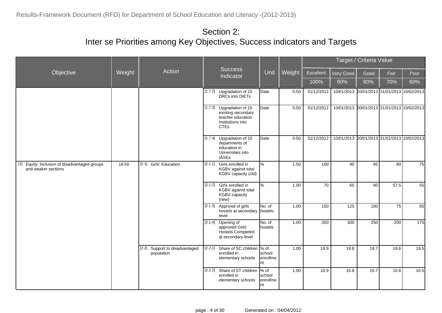|                                                                      |        |                                              |         |                                                                                                                       |                                              |        |            | Target / Criteria Value                     |      |      |      |
|----------------------------------------------------------------------|--------|----------------------------------------------|---------|-----------------------------------------------------------------------------------------------------------------------|----------------------------------------------|--------|------------|---------------------------------------------|------|------|------|
| Objective                                                            | Weight | Action                                       |         | <b>Success</b><br>Indicator                                                                                           | Unit                                         | Weight | Excellent  | Very Good                                   | Good | Fair | Poor |
|                                                                      |        |                                              |         |                                                                                                                       |                                              |        | 100%       | 90%                                         | 80%  | 70%  | 60%  |
|                                                                      |        |                                              |         | [1.7.2] Upgradation of 15<br>DRCs into DIETs                                                                          | Date                                         | 0.50   | 31/12/2012 | 10/01/2013 20/01/2013 31/01/2013 10/02/2013 |      |      |      |
|                                                                      |        |                                              |         | $[1.7.3]$ Upgradation of 15<br>existing secondary<br>teacher education<br>institutions into<br><b>CTE<sub>s</sub></b> | <b>D</b> ate                                 | 0.50   | 31/12/2012 | 10/01/2013 20/01/2013 31/01/2013 10/02/2013 |      |      |      |
|                                                                      |        |                                              |         | [1.7.4] Upgradation of 10<br>departments of<br>education in<br>Universities into<br><b>IASEs</b>                      | Date                                         | 0.50   | 31/12/2012 | 10/01/2013 20/01/2013 31/01/2013 10/02/2013 |      |      |      |
| [2] Equity: Inclusion of disadvantaged groups<br>and weaker sections | 18.50  | [2.1] Girls' Education                       | [2.1.1] | Girls enrolled in<br>KGBV against total<br>KGBV capacity (old)                                                        | %                                            | 1.50   | 100        | 90                                          | 85   | 80   | 75   |
|                                                                      |        |                                              |         | [2.1.2] Girls enrolled in<br>KGBV against total<br><b>KGBV</b> capacity<br>(new)                                      | %                                            | 1.00   | 70         | 65                                          | 60   | 57.5 | 55   |
|                                                                      |        |                                              |         | [2.1.3] Approval of girls<br>hostels at secondary<br>level                                                            | No. of<br>hostels                            | 1.00   | 150        | 125                                         | 100  | 75   | 65   |
|                                                                      |        |                                              |         | [2.1.4] Opening of<br>approved Girls'<br>Hostels Completed<br>at secondary level                                      | No. of<br>hostels                            | 1.00   | 350        | 300                                         | 250  | 200  | 175  |
|                                                                      |        | [2.2] Support to disadvantaged<br>population |         | [2.2.1] Share of SC children  % of<br>enrolled in<br>elementary schools                                               | school<br>enrollme<br>nt                     | 1.00   | 19.9       | 19.8                                        | 19.7 | 19.6 | 19.5 |
|                                                                      |        |                                              |         | [2.2.2] Share of ST children<br>enrolled in<br>elementary schools                                                     | $\frac{9}{6}$ of<br>school<br>enrollme<br>nt | 1.00   | 10.9       | 10.8                                        | 10.7 | 10.6 | 10.5 |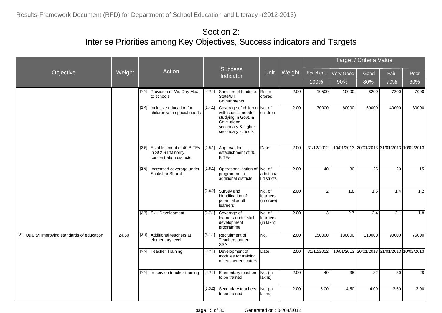|                                               |        |                                                                                 |         |                                                                                                                                     |                                   |        |                |                                             | Target / Criteria Value |       |       |
|-----------------------------------------------|--------|---------------------------------------------------------------------------------|---------|-------------------------------------------------------------------------------------------------------------------------------------|-----------------------------------|--------|----------------|---------------------------------------------|-------------------------|-------|-------|
| Objective                                     | Weight | Action                                                                          |         | <b>Success</b><br>Indicator                                                                                                         | Unit                              | Weight | Excellent      | Very Good                                   | Good                    | Fair  | Poor  |
|                                               |        |                                                                                 |         |                                                                                                                                     |                                   |        | 100%           | 90%                                         | 80%                     | 70%   | 60%   |
|                                               |        | [2.3] Provision of Mid Day Meal<br>to schools                                   |         | [2.3.1] Sanction of funds to<br>State/UT<br>Governments                                                                             | Rs. in<br>crores                  | 2.00   | 10500          | 10000                                       | 8200                    | 7200  | 7000  |
|                                               |        | [2.4] Inclusive education for<br>children with special needs                    |         | [2.4.1] Coverage of children<br>with special needs<br>studying in Govt. &<br>Govt. aided<br>secondary & higher<br>secondary schools | No. of<br>children                | 2.00   | 70000          | 60000                                       | 50000                   | 40000 | 30000 |
|                                               |        | [2.5] Establishment of 40 BITEs<br>in SC/ST/Minority<br>concentration districts |         | [2.5.1] Approval for<br>establishment of 40<br><b>BITEs</b>                                                                         | Date                              | 2.00   | 31/12/2012     | 10/01/2013 20/01/2013 31/01/2013 10/02/2013 |                         |       |       |
|                                               |        | [2.6] Increased coverage under<br>Saakshar Bharat                               | [2.6.1] | Operationalisation of<br>programme in<br>additional districts                                                                       | No. of<br>additiona<br>districts  | 2.00   | 40             | 30                                          | $\overline{25}$         | 20    | 15    |
|                                               |        |                                                                                 |         | [2.6.2] Survey and<br>identification of<br>potential adult<br>learners                                                              | No. of<br>llearners<br>(in crore) | 2.00   | $\overline{2}$ | 1.8                                         | 1.6                     | 1.4   | 1.2   |
|                                               |        | [2.7] Skill Development                                                         |         | [2.7.1] Coverage of<br>learners under skill<br>development<br>programme                                                             | No. of<br>learners<br>(in lakh)   | 2.00   | 3              | 2.7                                         | 2.4                     | 2.1   | 1.8   |
| [3] Quality: Improving standards of education | 24.50  | [3.1] Additional teachers at<br>elementary level                                |         | [3.1.1] Recruitment of<br>Teachers under<br><b>SSA</b>                                                                              | INo.                              | 2.00   | 150000         | 130000                                      | 110000                  | 90000 | 75000 |
|                                               |        | [3.2] Teacher Training                                                          | [3.2.1] | Development of<br>modules for training<br>of teacher educators                                                                      | Date                              | 2.00   | 31/12/2012     | 10/01/2013 20/01/2013 31/01/2013 10/02/2013 |                         |       |       |
|                                               |        | [3.3] In-service teacher training                                               |         | [3.3.1] Elementary teachers<br>to be trained                                                                                        | No. (in<br>lakhs)                 | 2.00   | 40             | 35                                          | $\overline{32}$         | 30    | 28    |
|                                               |        |                                                                                 |         | [3.3.2] Secondary teachers<br>to be trained                                                                                         | No. (in<br>llakhs)                | 2.00   | 5.00           | 4.50                                        | 4.00                    | 3.50  | 3.00  |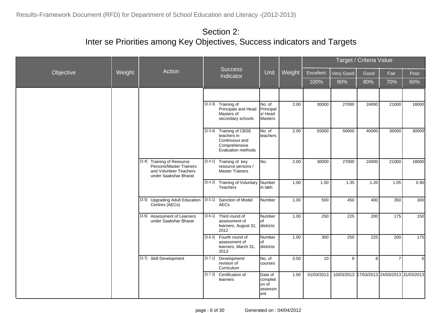|           |        |                                                                                                          |         |                                                                                                         |                                                |        |                  |            | Target / Criteria Value |                                  |       |
|-----------|--------|----------------------------------------------------------------------------------------------------------|---------|---------------------------------------------------------------------------------------------------------|------------------------------------------------|--------|------------------|------------|-------------------------|----------------------------------|-------|
| Objective | Weight | Action                                                                                                   |         | <b>Success</b><br>Indicator                                                                             | Unit                                           | Weight | Excellent        | Very Good  | Good                    | Fair                             | Poor  |
|           |        |                                                                                                          |         |                                                                                                         |                                                |        | 100%             | 90%        | 80%                     | 70%                              | 60%   |
|           |        |                                                                                                          |         |                                                                                                         |                                                |        |                  |            |                         |                                  |       |
|           |        |                                                                                                          |         | [3.3.3] Training of<br>Principals and Head<br>Masters of<br>secondary schools                           | No. of<br>Principal<br>s/Head<br>Masters       | 2.00   | 30000            | 27000      | 24000                   | 21000                            | 18000 |
|           |        |                                                                                                          |         | [3.3.4] Training of CBSE<br>teachers in<br>Continuous and<br>Comprehensive<br><b>Evaluation methods</b> | No. of<br>teachers                             | 2.00   | 55000            | 50000      | 40000                   | 35000                            | 30000 |
|           |        | [3.4] Training of Resource<br>Persons/Master Trainers<br>and Volunteer Teachers<br>under Saakshar Bharat | [3.4.1] | Training of key<br>resource persons /<br>Master Trainers                                                | No.                                            | 2.00   | 30000            | 27000      | 24000                   | 21000                            | 18000 |
|           |        |                                                                                                          |         | [3.4.2] Training of Voluntary Number<br>Teachers                                                        | in lakh                                        | 1.00   | 1.50             | 1.35       | 1.20                    | 1.05                             | 0.90  |
|           |        | [3.5] Upgrading Adult Education<br>Centres (AECs)                                                        | [3.5.1] | Sanction of Model<br><b>AECs</b>                                                                        | <b>Number</b>                                  | 1.00   | 500              | 450        | 400                     | 350                              | 300   |
|           |        | [3.6] Assessment of Learners<br>under Saakshar Bharat                                                    |         | [3.6.1] Third round of<br>assessment of<br>learners, August 31,<br>2012                                 | Number<br>lof.<br>districts                    | 1.00   | 250              | 225        | 200                     | 175                              | 150   |
|           |        |                                                                                                          | [3.6.2] | Fourth round of<br>assessment of<br>learners, March 31,<br>2013                                         | Number<br>lof<br>districts                     | 1.00   | 300              | 250        | 225                     | 200                              | 175   |
|           |        | [3.7] Skill Development                                                                                  | [3.7.1] | Development/<br>revision of<br>Curriculum                                                               | No. of<br>courses                              | 0.50   | 10 <sup>10</sup> | 9          | 8                       | $\overline{7}$                   | 6     |
|           |        |                                                                                                          |         | [3.7.2] Certification of<br>learners                                                                    | Date of<br>completi<br>on of<br>assessm<br>ent | 1.00   | 01/03/2013       | 10/03/2013 |                         | 17/03/2013 24/03/2013 31/03/2013 |       |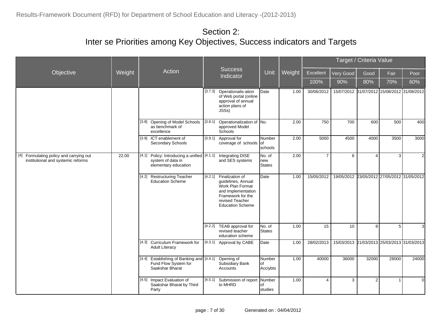|                                                                               |        |                                                                                             |         |                                                                                                                                                            |                          |        |                |                                             | Target / Criteria Value |                |                |
|-------------------------------------------------------------------------------|--------|---------------------------------------------------------------------------------------------|---------|------------------------------------------------------------------------------------------------------------------------------------------------------------|--------------------------|--------|----------------|---------------------------------------------|-------------------------|----------------|----------------|
| Objective                                                                     | Weight | Action                                                                                      |         | <b>Success</b><br>Indicator                                                                                                                                | Unit                     | Weight | Excellent      | Very Good                                   | Good                    | Fair           | Poor           |
|                                                                               |        |                                                                                             |         |                                                                                                                                                            |                          |        | 100%           | 90%                                         | 80%                     | 70%            | 60%            |
|                                                                               |        |                                                                                             | [3.7.3] | Operationalis-ation<br>of Web portal (online<br>approval of annual<br>action plans of<br>JSSs)                                                             | Date                     | 1.00   | 30/06/2012     | 15/07/2012 31/07/2012 15/08/2012 31/08/2012 |                         |                |                |
|                                                                               |        | Opening of Model Schools<br>[3.8]<br>as benchmark of<br>excellence                          | [3.8.1] | Operationalization of No.<br>approved Model<br>Schools                                                                                                     |                          | 2.00   | 750            | 700                                         | 600                     | 500            | 400            |
|                                                                               |        | [3.9] ICT enablement of<br>Secondary Schools                                                |         | [3.9.1] Approval for<br>coverage of schools of                                                                                                             | Number<br>schools        | 2.00   | 5000           | 4500                                        | 4000                    | 3500           | 3000           |
| [4] Formulating policy and carrying out<br>institutional and systemic reforms | 22.00  | Policy: Introducing a unified [4.1.1]<br>[4.1]<br>system of data in<br>elementary education |         | Integrating DISE<br>and SES systems                                                                                                                        | No. of<br>new<br>States  | 2.00   | $\overline{7}$ | 6                                           | $\overline{4}$          | 3 <sup>1</sup> | $\overline{2}$ |
|                                                                               |        | <b>Restructuring Teacher</b><br>[4.2]<br><b>Education Scheme</b>                            |         | [4.2.1] Finalization of<br>guidelines, Annual<br>Work Plan Format<br>and Implementation<br>Framework for the<br>revised Teacher<br><b>Education Scheme</b> | Date                     | 1.00   | 15/05/2012     | 19/05/2012 23/05/2012 27/05/2012 31/05/2012 |                         |                |                |
|                                                                               |        |                                                                                             |         | [4.2.2] TEAB approval for<br>revised teacher<br>education scheme                                                                                           | No. of<br>States         | 1.00   | 15             | 10 <sup>1</sup>                             | 8                       | 5 <sup>1</sup> | 3              |
|                                                                               |        | [4.3] Curriculum Framework for<br><b>Adult Literacy</b>                                     |         | [4.3.1] Approval by CABE                                                                                                                                   | <b>D</b> ate             | 1.00   | 28/02/2013     | 15/03/2013 21/03/2013 25/03/2013 31/03/2013 |                         |                |                |
|                                                                               |        | [4.4.1] Establishing of Banking and [4.4.1]<br>Fund Flow System for<br>Saakshar Bharat      |         | Opening of<br>Subsidiary Bank<br>Accounts                                                                                                                  | Number<br>οf<br>Acciybts | 1.00   | 40000          | 36000                                       | 32000                   | 28000          | 24000          |
|                                                                               |        | Impact Evaluation of<br>$[4.5]$<br>Saakshar Bharat by Third<br>Party                        | [4.5.1] | Submission of report Number<br>to MHRD                                                                                                                     | lof<br>studies           | 1.00   | 4              | 3                                           | 2                       | -1             | $\mathbf 0$    |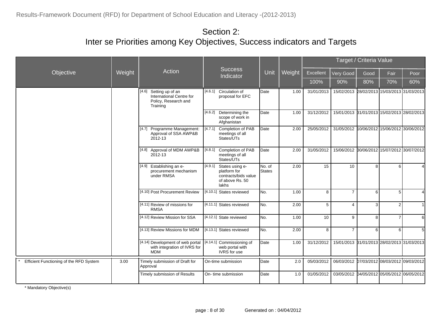|                                         | Action |                                                                                           |                                                                                                          |                          |        |            | Target / Criteria Value                     |      |                |          |
|-----------------------------------------|--------|-------------------------------------------------------------------------------------------|----------------------------------------------------------------------------------------------------------|--------------------------|--------|------------|---------------------------------------------|------|----------------|----------|
| Objective                               | Weight |                                                                                           | <b>Success</b><br>Indicator                                                                              | Unit                     | Weight | Excellent  | Very Good                                   | Good | Fair           | Poor     |
|                                         |        |                                                                                           |                                                                                                          |                          |        | 100%       | 90%                                         | 80%  | 70%            | 60%      |
|                                         |        | [4.6]<br>Setting up of an<br>International Centre for<br>Policy, Research and<br>Training | [4.6.1] Circulation of<br>proposal for EFC                                                               | Date                     | 1.00   | 31/01/2013 | 15/02/2013 28/02/2013 15/03/2013 31/03/2013 |      |                |          |
|                                         |        |                                                                                           | [4.6.2] Determining the<br>scope of work in<br>Afghanistan                                               | <b>D</b> ate             | 1.00   | 31/12/2012 | 15/01/2013 31/01/2013 15/02/2013 28/02/2013 |      |                |          |
|                                         |        | [4.7] Programme Management:<br>Approval of SSA AWP&B<br>2012-13                           | [4.7.1] Completion of PAB<br>meetings of all<br>States/UTs                                               | <b>D</b> ate             | 2.00   | 25/05/2012 | 31/05/2012 10/06/2012 15/06/2012 30/06/2012 |      |                |          |
|                                         |        | [4.8] Approval of MDM AWP&B<br>2012-13                                                    | Completion of PAB<br>[4.8.1]<br>meetings of all<br>States/UTs                                            | <b>D</b> ate             | 2.00   | 31/05/2012 | 15/06/2012 30/06/2012 15/07/2012 30/07/2012 |      |                |          |
|                                         |        | [4.9] Establishing an e-<br>procurement mechanism<br>under RMSA                           | $\overline{[4.9.1]}$ States using e-<br>platform for<br>contracts/bids value<br>of above Rs. 50<br>lakhs | No. of<br><b>S</b> tates | 2.00   | 15         | 10                                          | 8    | 6              |          |
|                                         |        | [4.10] Post Procurement Review                                                            | [4.10.1] States reviewed                                                                                 | INo.                     | 1.00   | 8          | $\overline{7}$                              | 6    | 5              | $\Delta$ |
|                                         |        | [4.11] Review of missions for<br><b>RMSA</b>                                              | [4.11.1] States reviewed                                                                                 | No.                      | 2.00   | 5          | $\overline{4}$                              | 3    | $\overline{2}$ |          |
|                                         |        | [4.12] Review Mission for SSA                                                             | [4.12.1] State reviewed                                                                                  | No.                      | 1.00   | 10         | 9                                           | 8    | $\overline{7}$ | 6        |
|                                         |        | [4.13] Review Missions for MDM                                                            | [4.13.1] States reviewed                                                                                 | INo.                     | 2.00   | 8          | $\overline{7}$                              | 6    | 6              | 5        |
|                                         |        | [4.14] Development of web portal<br>with integration of IVRS for<br><b>MDM</b>            | [4.14.1] Commissioning of<br>web portal with<br>IVRS for use                                             | Date                     | 1.00   | 31/12/2012 | 15/01/2013 31/01/2013 28/02/2013 31/03/2013 |      |                |          |
| Efficient Functioning of the RFD System | 3.00   | Timely submission of Draft for<br>Approval                                                | On-time submission                                                                                       | <b>D</b> ate             | 2.0    | 05/03/2012 | 06/03/2012 07/03/2012 08/03/2012 09/03/2012 |      |                |          |
|                                         |        | Timely submission of Results                                                              | On- time submission                                                                                      | <b>D</b> ate             | 1.0    | 01/05/2012 | 03/05/2012 04/05/2012 05/05/2012 06/05/2012 |      |                |          |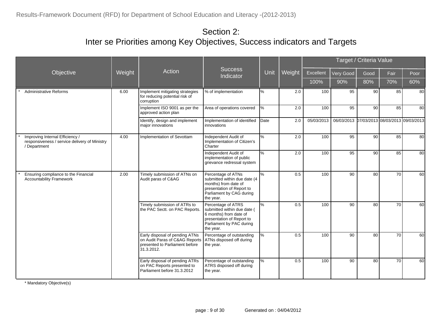|                                                                                                  |        |                                                                                                                  |                                                                                                                                                   |      |        |            |                                             | Target / Criteria Value |      |      |
|--------------------------------------------------------------------------------------------------|--------|------------------------------------------------------------------------------------------------------------------|---------------------------------------------------------------------------------------------------------------------------------------------------|------|--------|------------|---------------------------------------------|-------------------------|------|------|
| Objective                                                                                        | Weight | Action                                                                                                           | <b>Success</b><br>Indicator                                                                                                                       | Unit | Weight | Excellent  | Very Good                                   | Good                    | Fair | Poor |
|                                                                                                  |        |                                                                                                                  |                                                                                                                                                   |      |        | 100%       | 90%                                         | 80%                     | 70%  | 60%  |
| <b>Administrative Reforms</b>                                                                    | 6.00   | Implement mitigating strategies<br>for reducing potential risk of<br>corruption                                  | % of implementation                                                                                                                               | %    | 2.0    | 100        | 95                                          | 90                      | 85   | 80   |
|                                                                                                  |        | Implement ISO 9001 as per the<br>approved action plan                                                            | Area of operations covered                                                                                                                        | %    | 2.0    | 100        | 95                                          | 90                      | 85   | 80   |
|                                                                                                  |        | Identify, design and implement<br>major innovations                                                              | Implementation of identified<br>innovations                                                                                                       | Date | 2.0    | 05/03/2013 | 06/03/2013 07/03/2013 08/03/2013 09/03/2013 |                         |      |      |
| Improving Internal Efficiency /<br>responsiveness / service delivery of Ministry<br>/ Department | 4.00   | Implementation of Sevottam                                                                                       | Independent Audit of<br>Implementation of Citizen's<br>Charter                                                                                    | %    | 2.0    | 100        | 95                                          | 90                      | 85   | 80   |
|                                                                                                  |        |                                                                                                                  | Independent Audit of<br>implementation of public<br>grievance redressal system                                                                    | %    | 2.0    | 100        | 95                                          | 90                      | 85   | 80   |
| Ensuring compliance to the Financial<br><b>Accountability Framework</b>                          | 2.00   | Timely submission of ATNs on<br>Audit paras of C&AG                                                              | Percentage of ATNs<br>submitted within due date (4<br>months) from date of<br>presentation of Report to<br>Parliament by CAG during<br>the year.  | $\%$ | 0.5    | 100        | 90                                          | 80                      | 70   | 60   |
|                                                                                                  |        | Timely submission of ATRs to<br>the PAC Sectt. on PAC Reports.                                                   | Percentage of ATRS<br>submitted within due date (<br>6 months) from date of<br>presentation of Report to<br>Parliament by PAC during<br>the year. | $\%$ | 0.5    | 100        | 90                                          | 80                      | 70   | 60   |
|                                                                                                  |        | Early disposal of pending ATNs<br>on Audit Paras of C&AG Reports<br>presented to Parliament before<br>31.3.2012. | Percentage of outstanding<br>ATNs disposed off during<br>the year.                                                                                | %    | 0.5    | 100        | 90                                          | 80                      | 70   | 60   |
|                                                                                                  |        | Early disposal of pending ATRs<br>on PAC Reports presented to<br>Parliament before 31.3.2012                     | Percentage of outstanding<br>ATRS disposed off during<br>the year.                                                                                | l%   | 0.5    | 100        | 90                                          | 80                      | 70   | 60   |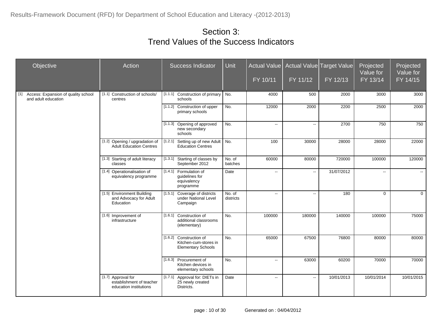| Objective                                                           | Action                                                                   | <b>Success Indicator</b>                                                      | <b>Unit</b>         | <b>Actual Value</b><br>FY 10/11 | FY 11/12 | Actual Value Target Value<br>FY 12/13 | Projected<br>Value for<br>$FY$ 13/14 | Projected<br>Value for<br>FY 14/15 |
|---------------------------------------------------------------------|--------------------------------------------------------------------------|-------------------------------------------------------------------------------|---------------------|---------------------------------|----------|---------------------------------------|--------------------------------------|------------------------------------|
| Access: Expansion of quality school<br>$[1]$<br>and adult education | [1.1] Construction of schools/<br>centres                                | [1.1.1] Construction of primary   No.<br>schools                              |                     | 4000                            | 500      | 2000                                  | 3000                                 | 3000                               |
|                                                                     |                                                                          | [1.1.2] Construction of upper<br>primary schools                              | No.                 | 12000                           | 2000     | 2200                                  | 2500                                 | 2000                               |
|                                                                     |                                                                          | Opening of approved<br>[1.1.3]<br>new secondary<br>schools                    | No.                 | $\sim$                          | $\sim$   | 2700                                  | 750                                  | 750                                |
|                                                                     | [1.2] Opening / upgradation of<br><b>Adult Education Centres</b>         | Setting up of new Adult No.<br>[1.2.1]<br><b>Education Centres</b>            |                     | 100                             | 30000    | 28000                                 | 28000                                | 22000                              |
|                                                                     | [1.3] Starting of adult literacy<br>classes                              | [1.3.1]<br>Starting of classes by<br>September 2012                           | No. of<br>batches   | 60000                           | 80000    | 720000                                | 100000                               | 120000                             |
|                                                                     | [1.4] Operationalisation of<br>equivalency programme                     | [1.4.1] Formulation of<br>guidelines for<br>equivalency<br>programme          | Date                | $\sim$                          | $\sim$   | 31/07/2012                            | $\overline{\phantom{a}}$             | $\sim$ $\sim$                      |
|                                                                     | [1.5] Environment Building<br>and Advocacy for Adult<br>Education        | [1.5.1] Coverage of districts<br>under National Level<br>Campaign             | No. of<br>districts | $\sim$                          | $\sim$   | 180                                   | $\Omega$                             | $\Omega$                           |
|                                                                     | [1.6] Improvement of<br>infrastructure                                   | [1.6.1] Construction of<br>additional classrooms<br>(elementary)              | No.                 | 100000                          | 180000   | 140000                                | 100000                               | 75000                              |
|                                                                     |                                                                          | [1.6.2] Construction of<br>Kitchen-cum-stores in<br><b>Elementary Schools</b> | No.                 | 65000                           | 67500    | 76800                                 | 80000                                | 80000                              |
|                                                                     |                                                                          | [1.6.3] Procurement of<br>Kitchen devices in<br>elementary schools            | No.                 | $\sim$                          | 63000    | 60200                                 | 70000                                | 70000                              |
|                                                                     | [1.7] Approval for<br>establishment of teacher<br>education institutions | [1.7.1] Approval for: DIETs in<br>25 newly created<br>Districts.              | Date                | $\sim$                          | $\sim$   | 10/01/2013                            | 10/01/2014                           | 10/01/2015                         |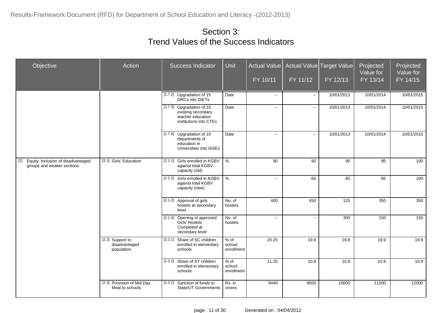| Objective                                                                 | Action                                          | <b>Success Indicator</b>                                                                       | Unit                         | FY 10/11 | Actual Value   Actual Value   Target Value  <br>FY 11/12 | FY 12/13   | Projected<br>Value for<br>FY 13/14 | Projected<br>Value for<br>FY 14/15 |
|---------------------------------------------------------------------------|-------------------------------------------------|------------------------------------------------------------------------------------------------|------------------------------|----------|----------------------------------------------------------|------------|------------------------------------|------------------------------------|
|                                                                           |                                                 | [1.7.2] Upgradation of 15<br>DRCs into DIETs                                                   | Date                         | $\sim$   | $\sim$                                                   | 10/01/2013 | 10/01/2014                         | 10/01/2015                         |
|                                                                           |                                                 | [1.7.3] Upgradation of 15<br>existing secondary<br>teacher education<br>institutions into CTEs | Date                         | $\sim$   | $\sim$                                                   | 10/01/2013 | 10/01/2014                         | 10/01/2015                         |
|                                                                           |                                                 | [1.7.4] Upgradation of 10<br>departments of<br>education in<br>Universities into IASEs         | Date                         | $\sim$   | $\sim$                                                   | 10/01/2013 | 10/01/2014                         | 10/01/2015                         |
| Equity: Inclusion of disadvantaged<br>$[2]$<br>groups and weaker sections | [2.1] Girls' Education                          | [2.1.1] Girls enrolled in KGBV<br>against total KGBV<br>capacity (old)                         | $\frac{0}{6}$                | 90       | 90                                                       | 90         | 95                                 | 100                                |
|                                                                           |                                                 | [2.1.2] Girls enrolled in KGBV<br>against total KGBV<br>capacity (new)                         | $\frac{0}{6}$                | $\sim$   | 65                                                       | 65         | 65                                 | 100                                |
|                                                                           |                                                 | [2.1.3] Approval of girls<br>hostels at secondary<br>level                                     | No. of<br>hostels            | 400      | 450                                                      | 125        | 350                                | 350                                |
|                                                                           |                                                 | [2.1.4] Opening of approved<br>Girls' Hostels<br>Completed at<br>secondary level               | No. of<br>hostels            | $\sim$   | $\sim$                                                   | 300        | 150                                | 150                                |
|                                                                           | [2.2] Support to<br>disadvantaged<br>population | Share of SC children<br>[2.2.1]<br>enrolled in elementary<br>schools                           | % of<br>school<br>enrollment | 20.25    | 19.8                                                     | 19.8       | 19.9                               | 19.9                               |
|                                                                           |                                                 | [2.2.2] Share of ST children<br>enrolled in elementary<br>schools                              | % of<br>school<br>enrollment | 11.25    | 10.8                                                     | 10.8       | 10.9                               | 10.9                               |
|                                                                           | [2.3] Provision of Mid Day<br>Meal to schools   | $\overline{[2.3.1]}$<br>Sanction of funds to<br><b>State/UT Governments</b>                    | Rs. in<br>crores             | 9440     | 9500                                                     | 10000      | 11500                              | 12000                              |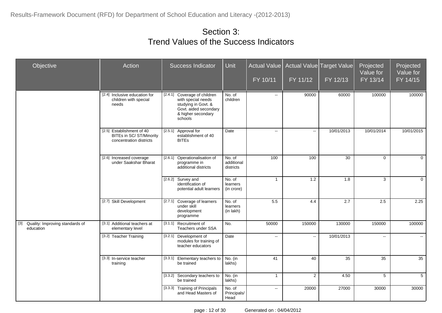| Objective                                        | Action                                                                           | <b>Success Indicator</b>                                                                                                            | Unit                              | $FY$ 10/11     | Actual Value   Actual Value Target Value<br>FY 11/12 | FY 12/13        | Projected<br>Value for<br>FY 13/14 | Projected<br>Value for<br>FY 14/15 |
|--------------------------------------------------|----------------------------------------------------------------------------------|-------------------------------------------------------------------------------------------------------------------------------------|-----------------------------------|----------------|------------------------------------------------------|-----------------|------------------------------------|------------------------------------|
|                                                  | [2.4] Inclusive education for<br>children with special<br>needs                  | [2.4.1] Coverage of children<br>with special needs<br>studying in Govt. &<br>Govt. aided secondary<br>& higher secondary<br>schools | No. of<br>children                | $\sim$         | 90000                                                | 60000           | 100000                             | 100000                             |
|                                                  | [2.5] Establishment of 40<br>BITEs in SC/ ST/Minority<br>concentration districts | [2.5.1] Approval for<br>establishment of 40<br><b>BITES</b>                                                                         | Date                              | $\sim$         | $\sim$                                               | 10/01/2013      | 10/01/2014                         | 10/01/2015                         |
|                                                  | [2.6] Increased coverage<br>under Saakshar Bharat                                | [2.6.1]<br>Operationalisation of<br>programme in<br>additional districts                                                            | No. of<br>additional<br>districts | 100            | 100                                                  | $\overline{30}$ | $\mathbf{0}$                       | $\mathbf 0$                        |
|                                                  |                                                                                  | [2.6.2] Survey and<br>identification of<br>potential adult learners                                                                 | No. of<br>learners<br>(in crore)  | $\overline{1}$ | 1.2                                                  | 1.8             | 3                                  | $\Omega$                           |
|                                                  | [2.7] Skill Development                                                          | [2.7.1]<br>Coverage of learners<br>under skill<br>development<br>programme                                                          | No. of<br>learners<br>(in lakh)   | 5.5            | 4.4                                                  | 2.7             | 2.5                                | 2.25                               |
| [3] Quality: Improving standards of<br>education | [3.1] Additional teachers at<br>elementary level                                 | [3.1.1] Recruitment of<br>Teachers under SSA                                                                                        | No.                               | 50000          | 150000                                               | 130000          | 150000                             | 100000                             |
|                                                  | [3.2] Teacher Training                                                           | [3.2.1]<br>Development of<br>modules for training of<br>teacher educators                                                           | Date                              | цц.            | $\sim$                                               | 10/01/2013      | $\mathbb{L}^2$                     | $\sim$                             |
|                                                  | [3.3] In-service teacher<br>training                                             | [3.3.1]<br>Elementary teachers to<br>be trained                                                                                     | No. (in<br>lakhs)                 | 41             | 40                                                   | 35              | 35                                 | 35                                 |
|                                                  |                                                                                  | [3.3.2] Secondary teachers to<br>be trained                                                                                         | No. (in<br>lakhs)                 | $\overline{1}$ | $\overline{2}$                                       | 4.50            | 5                                  | 5                                  |
|                                                  |                                                                                  | [3.3.3] Training of Principals<br>and Head Masters of                                                                               | No. of<br>Principals/<br>Head     | $\sim$         | 20000                                                | 27000           | 30000                              | 30000                              |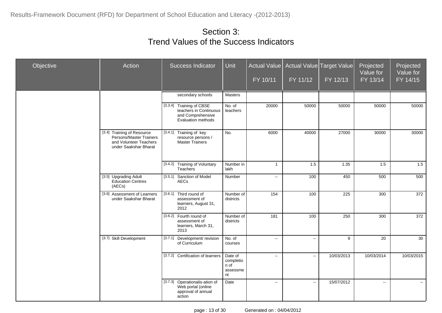| Objective | Action                                                                                                   | Success Indicator                                                                             | <b>Unit</b>                                    | Actual Value<br>FY 10/11 | FY 11/12       | <b>Actual Value Target Value</b><br>FY 12/13 | Projected<br>Value for<br>FY 13/14 | Projected<br>Value for<br>FY 14/15 |
|-----------|----------------------------------------------------------------------------------------------------------|-----------------------------------------------------------------------------------------------|------------------------------------------------|--------------------------|----------------|----------------------------------------------|------------------------------------|------------------------------------|
|           |                                                                                                          | secondary schools                                                                             | Masters                                        |                          |                |                                              |                                    |                                    |
|           |                                                                                                          | [3.3.4] Training of CBSE<br>teachers in Continuous<br>and Comprehensive<br>Evaluation methods | No. of<br>teachers                             | 20000                    | 50000          | 50000                                        | 50000                              | 50000                              |
|           | [3.4] Training of Resource<br>Persons/Master Trainers<br>and Volunteer Teachers<br>under Saakshar Bharat | [3.4.1] Training of key<br>resource persons /<br>Master Trainers                              | No.                                            | 6000                     | 40000          | 27000                                        | 30000                              | 30000                              |
|           |                                                                                                          | <b>Training of Voluntary</b><br>[3.4.2]<br>Teachers                                           | Number in<br>lakh                              | $\overline{1}$           | 1.5            | 1.35                                         | 1.5                                | 1.5                                |
|           | [3.5] Upgrading Adult<br>Education Centres<br>(AECs)                                                     | [3.5.1] Sanction of Model<br>AECs                                                             | Number                                         | $\sim$                   | 100            | 450                                          | 500                                | 500                                |
|           | [3.6] Assessment of Learners<br>under Saakshar Bharat                                                    | [3.6.1] Third round of<br>assessment of<br>learners, August 31,<br>2012                       | Number of<br>districts                         | 154                      | 100            | $\overline{225}$                             | 300                                | $\overline{372}$                   |
|           |                                                                                                          | Fourth round of<br>[3.6.2]<br>assessment of<br>learners, March 31,<br>2013                    | Number of<br>districts                         | 181                      | 100            | 250                                          | 300                                | 372                                |
|           | [3.7] Skill Development                                                                                  | [3.7.1] Development/ revision<br>of Curriculum                                                | No. of<br>courses                              | цц.                      | $\mathbb{L}^2$ | 9                                            | $\overline{20}$                    | 30                                 |
|           |                                                                                                          | [3.7.2] Certification of learners                                                             | Date of<br>completio<br>n of<br>assessme<br>nt | $\sim$                   | $\mathbb{Z}^2$ | 10/03/2013                                   | 10/03/2014                         | 10/03/2015                         |
|           |                                                                                                          | [3.7.3] Operationalis-ation of<br>Web portal (online<br>approval of annual<br>action          | Date                                           | $\mathbf{u}$             | $\mathbb{L}^2$ | 15/07/2012                                   | $\sim$                             | $\mathbf{u}$                       |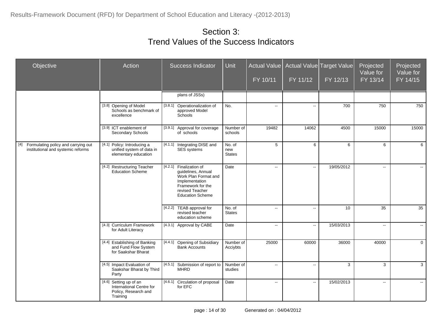| Objective                                                                     | Action                                                                                 | <b>Success Indicator</b>                                                                                                                                   | <b>Unit</b>                    | Actual Value<br>FY 10/11 | FY 11/12 | Actual Value Target Value<br>FY 12/13 | Projected<br>Value for<br>FY 13/14 | Projected<br>Value for<br>FY 14/15 |
|-------------------------------------------------------------------------------|----------------------------------------------------------------------------------------|------------------------------------------------------------------------------------------------------------------------------------------------------------|--------------------------------|--------------------------|----------|---------------------------------------|------------------------------------|------------------------------------|
|                                                                               |                                                                                        | plans of JSSs)                                                                                                                                             |                                |                          |          |                                       |                                    |                                    |
|                                                                               | [3.8] Opening of Model<br>Schools as benchmark of<br>excellence                        | [3.8.1]<br>Operationalization of<br>approved Model<br>Schools                                                                                              | No.                            | $\sim$                   | $\sim$   | 700                                   | 750                                | 750                                |
|                                                                               | [3.9] ICT enablement of<br>Secondary Schools                                           | [3.9.1] Approval for coverage<br>of schools                                                                                                                | Number of<br>schools           | 19482                    | 14062    | 4500                                  | 15000                              | 15000                              |
| [4] Formulating policy and carrying out<br>institutional and systemic reforms | [4.1] Policy: Introducing a<br>unified system of data in<br>elementary education       | [4.1.1]<br>Integrating DISE and<br>SES systems                                                                                                             | No. of<br>new<br><b>States</b> | 5                        | 6        | 6                                     | 6                                  | 6                                  |
|                                                                               | [4.2] Restructuring Teacher<br><b>Education Scheme</b>                                 | [4.2.1] Finalization of<br>guidelines, Annual<br>Work Plan Format and<br>Implementation<br>Framework for the<br>revised Teacher<br><b>Education Scheme</b> | Date                           | $\overline{a}$           | $\sim$   | 19/05/2012                            | $\mathbf{u}$                       | ш.                                 |
|                                                                               |                                                                                        | [4.2.2] TEAB approval for<br>revised teacher<br>education scheme                                                                                           | No. of<br><b>States</b>        | $\sim$                   | $\sim$   | 10                                    | 35                                 | 35                                 |
|                                                                               | [4.3] Curriculum Framework<br>for Adult Literacy                                       | [4.3.1] Approval by CABE                                                                                                                                   | Date                           | $\sim$                   | $\sim$   | 15/03/2013                            | $\sim$                             | $\mathbf{u}$                       |
|                                                                               | [4.4] Establishing of Banking<br>and Fund Flow System<br>for Saakshar Bharat           | [4.4.1]<br>Opening of Subsidiary<br><b>Bank Accounts</b>                                                                                                   | Number of<br>Acciybts          | 25000                    | 60000    | 36000                                 | 40000                              | $\mathbf 0$                        |
|                                                                               | [4.5] Impact Evaluation of<br>Saakshar Bharat by Third<br>Party                        | [4.5.1]<br>Submission of report to<br><b>MHRD</b>                                                                                                          | Number of<br>studies           | $\sim$                   | $\sim$   | 3                                     | $\overline{3}$                     | 3                                  |
|                                                                               | [4.6] Setting up of an<br>International Centre for<br>Policy, Research and<br>Training | [4.6.1] Circulation of proposal<br>for EFC                                                                                                                 | Date                           | $\sim$                   | $\sim$   | 15/02/2013                            | $\sim$                             |                                    |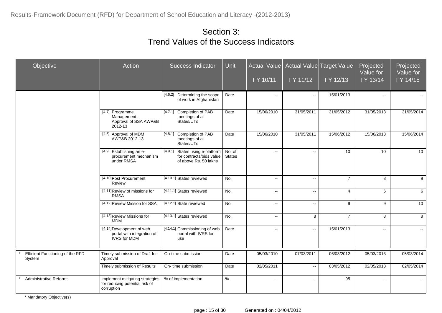| Objective                                  | Action                                                                          | <b>Success Indicator</b>                                                                | Unit                    | Actual Value<br>FY 10/11  | FY 11/12                                      | Actual Value Target Value<br>FY 12/13 | Projected<br>Value for<br>FY 13/14 | Projected<br>Value for<br>FY 14/15 |
|--------------------------------------------|---------------------------------------------------------------------------------|-----------------------------------------------------------------------------------------|-------------------------|---------------------------|-----------------------------------------------|---------------------------------------|------------------------------------|------------------------------------|
|                                            |                                                                                 | [4.6.2] Determining the scope<br>of work in Afghanistan                                 | Date                    | $\sim$                    | $\mathcal{L}_{\mathcal{F}}$                   | 15/01/2013                            | $\sim$                             |                                    |
|                                            | [4.7] Programme<br>Management:<br>Approval of SSA AWP&B<br>2012-13              | [4.7.1] Completion of PAB<br>meetings of all<br>States/UTs                              | Date                    | 15/06/2010                | 31/05/2011                                    | 31/05/2012                            | 31/05/2013                         | 31/05/2014                         |
|                                            | [4.8] Approval of MDM<br>AWP&B 2012-13                                          | [4.8.1] Completion of PAB<br>meetings of all<br>States/UTs                              | Date                    | 15/06/2010                | 31/05/2011                                    | 15/06/2012                            | 15/06/2013                         | 15/06/2014                         |
|                                            | [4.9] Establishing an e-<br>procurement mechanism<br>under RMSA                 | [4.9.1]<br>States using e-platform<br>for contracts/bids value<br>of above Rs. 50 lakhs | No. of<br><b>States</b> | $\mathbf{u}$              | $\sim$ $\sim$                                 | 10                                    | 10                                 | 10                                 |
|                                            | [4.10] Post Procurement<br>Review                                               | [4.10.1] States reviewed                                                                | No.                     | $\mathbf{L}$              | $\mathcal{L}_{\mathcal{F}}$                   | $\overline{7}$                        | 8                                  | 8                                  |
|                                            | [4.11] Review of missions for<br><b>RMSA</b>                                    | [4.11.1] States reviewed                                                                | No.                     | $\sim$                    | $\mathord{\hspace{1pt}\text{--}\hspace{1pt}}$ | $\overline{4}$                        | 6                                  | 6                                  |
|                                            | [4.12] Review Mission for SSA                                                   | [4.12.1] State reviewed                                                                 | No.                     | $\mathbb{L}^{\mathbb{L}}$ | $\mathbf{u}$                                  | 9                                     | 9                                  | 10                                 |
|                                            | [4.13] Review Missions for<br><b>MDM</b>                                        | [4.13.1] States reviewed                                                                | No.                     | $\sim$                    | 8                                             | $\overline{7}$                        | 8                                  | 8                                  |
|                                            | [4.14] Development of web<br>portal with integration of<br><b>IVRS</b> for MDM  | [4.14.1] Commissioning of web<br>portal with IVRS for<br>use                            | Date                    | $\mathbf{u}$              | $\mathbf{u}$                                  | 15/01/2013                            | $\mathbf{u}$                       | $\sim$                             |
| Efficient Functioning of the RFD<br>System | Timely submission of Draft for<br>Approval                                      | On-time submission                                                                      | Date                    | 05/03/2010                | 07/03/2011                                    | 06/03/2012                            | 05/03/2013                         | 05/03/2014                         |
|                                            | Timely submission of Results                                                    | On- time submission                                                                     | Date                    | 02/05/2011                | $\sim$                                        | 03/05/2012                            | 02/05/2013                         | 02/05/2014                         |
| <b>Administrative Reforms</b>              | Implement mitigating strategies<br>for reducing potential risk of<br>corruption | % of implementation                                                                     | $\%$                    | $\sim$                    | $\overline{\phantom{a}}$                      | 95                                    | $\sim$                             | $\mathbf{e} = \mathbf{e}$          |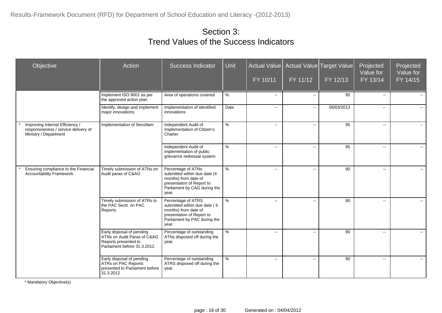| Objective                                                                                        | Action                                                                                                           | <b>Success Indicator</b>                                                                                                                         | <b>Unit</b>   | <b>Actual Value</b><br>FY 10/11 | FY 11/12                                      | Actual Value Target Value<br>FY 12/13 | Projected<br>Value for<br>$FY$ 13/14 | Projected<br>Value for<br>FY 14/15 |
|--------------------------------------------------------------------------------------------------|------------------------------------------------------------------------------------------------------------------|--------------------------------------------------------------------------------------------------------------------------------------------------|---------------|---------------------------------|-----------------------------------------------|---------------------------------------|--------------------------------------|------------------------------------|
|                                                                                                  | Implement ISO 9001 as per<br>the approved action plan                                                            | Area of operations covered                                                                                                                       | $\%$          | $\mathcal{L}_{\mathcal{F}}$     | $\overline{\phantom{a}}$                      | 95                                    | $\overline{\phantom{a}}$             |                                    |
|                                                                                                  | Identify, design and implement<br>major innovations                                                              | Implementation of identified<br>innovations                                                                                                      | Date          | ۰.                              | $\overline{\phantom{a}}$                      | 06/03/2013                            | $\overline{\phantom{a}}$             | $\overline{\phantom{a}}$           |
| Improving Internal Efficiency /<br>responsiveness / service delivery of<br>Ministry / Department | Implementation of Sevottam                                                                                       | Independent Audit of<br>Implementation of Citizen's<br>Charter                                                                                   | $\%$          | $\overline{\phantom{a}}$        | $\overline{\phantom{a}}$                      | 95                                    | $\overline{\phantom{a}}$             | $\sim$                             |
|                                                                                                  |                                                                                                                  | Independent Audit of<br>implementation of public<br>grievance redressal system                                                                   | $\%$          | $\overline{\phantom{a}}$        | $\overline{\phantom{a}}$                      | 95                                    | $\overline{a}$                       | $\sim$                             |
| Ensuring compliance to the Financial<br><b>Accountability Framework</b>                          | Timely submission of ATNs on<br>Audit paras of C&AG                                                              | Percentage of ATNs<br>submitted within due date (4<br>months) from date of<br>presentation of Report to<br>Parliament by CAG during the<br>year. | $\%$          | $\overline{\phantom{a}}$        | $\overline{\phantom{a}}$                      | 90                                    | $\overline{a}$                       | $\mathbf{u}$                       |
|                                                                                                  | Timely submission of ATRs to<br>the PAC Sectt. on PAC<br>Reports.                                                | Percentage of ATRS<br>submitted within due date (6<br>months) from date of<br>presentation of Report to<br>Parliament by PAC during the<br>year. | $\%$          | $\overline{a}$                  | $\overline{\phantom{a}}$                      | 90                                    | $\overline{\phantom{a}}$             | $\sim$                             |
|                                                                                                  | Early disposal of pending<br>ATNs on Audit Paras of C&AG<br>Reports presented to<br>Parliament before 31.3.2012. | Percentage of outstanding<br>ATNs disposed off during the<br>year.                                                                               | $\frac{9}{6}$ | ۰.                              | $\mathord{\hspace{1pt}\text{--}\hspace{1pt}}$ | 90                                    | --                                   | $\sim$                             |
|                                                                                                  | Early disposal of pending<br><b>ATRs on PAC Reports</b><br>presented to Parliament before<br>31.3.2012           | Percentage of outstanding<br>ATRS disposed off during the<br>year.                                                                               | %             | $\sim$                          | $\overline{\phantom{a}}$                      | 90                                    | $\sim$                               | $\sim$                             |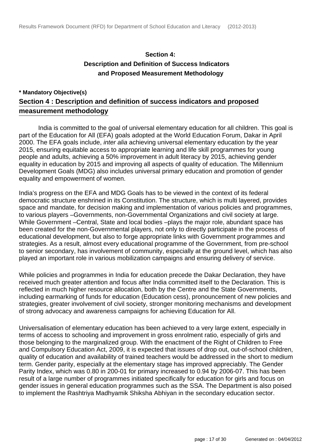#### **Section 4: Description and Definition of Success Indicators and Proposed Measurement Methodology**

#### **\* Mandatory Objective(s) Section 4 : Description and definition of success indicators and proposed measurement methodology**

 India is committed to the goal of universal elementary education for all children. This goal is part of the Education for All (EFA) goals adopted at the World Education Forum, Dakar in April 2000. The EFA goals include, *inter alia* achieving universal elementary education by the year 2015, ensuring equitable access to appropriate learning and life skill programmes for young people and adults, achieving a 50% improvement in adult literacy by 2015, achieving gender equality in education by 2015 and improving all aspects of quality of education. The Millennium Development Goals (MDG) also includes universal primary education and promotion of gender equality and empowerment of women.

India's progress on the EFA and MDG Goals has to be viewed in the context of its federal democratic structure enshrined in its Constitution. The structure, which is multi layered, provides space and mandate, for decision making and implementation of various policies and programmes, to various players –Governments, non-Governmental Organizations and civil society at large. While Government –Central, State and local bodies –plays the major role, abundant space has been created for the non-Governmental players, not only to directly participate in the process of educational development, but also to forge appropriate links with Government programmes and strategies. As a result, almost every educational programme of the Government, from pre-school to senior secondary, has involvement of community, especially at the ground level, which has also played an important role in various mobilization campaigns and ensuring delivery of service.

While policies and programmes in India for education precede the Dakar Declaration, they have received much greater attention and focus after India committed itself to the Declaration. This is reflected in much higher resource allocation, both by the Centre and the State Governments, including earmarking of funds for education (Education cess), pronouncement of new policies and strategies, greater involvement of civil society, stronger monitoring mechanisms and development of strong advocacy and awareness campaigns for achieving Education for All.

Universalisation of elementary education has been achieved to a very large extent, especially in terms of access to schooling and improvement in gross enrolment ratio, especially of girls and those belonging to the marginalized group. With the enactment of the Right of Children to Free and Compulsory Education Act, 2009, it is expected that issues of drop out, out-of-school children, quality of education and availability of trained teachers would be addressed in the short to medium term. Gender parity, especially at the elementary stage has improved appreciably. The Gender Parity Index, which was 0.80 in 200-01 for primary increased to 0.94 by 2006-07. This has been result of a large number of programmes initiated specifically for education for girls and focus on gender issues in general education programmes such as the SSA. The Department is also poised to implement the Rashtriya Madhyamik Shiksha Abhiyan in the secondary education sector.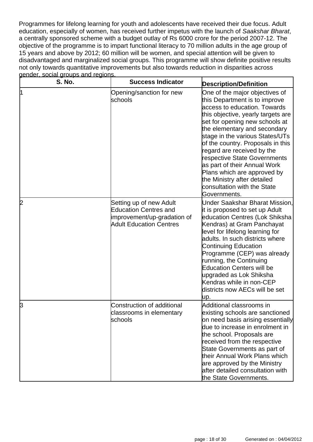Programmes for lifelong learning for youth and adolescents have received their due focus. Adult education, especially of women, has received further impetus with the launch of Saakshar Bharat, a centrally sponsored scheme with a budget outlay of Rs 6000 crore for the period 2007-12. The objective of the programme is to impart functional literacy to 70 million adults in the age group of 15 years and above by 2012; 60 million will be women, and special attention will be given to disadvantaged and marginalized social groups. This programme will show definite positive results not only towards quantitative improvements but also towards reduction in disparities across gender, social groups and regions.

| <b>S. No.</b> | <b>Success Indicator</b>                                                                                                 | <b>Description/Definition</b>                                                                                                                                                                                                                                                                                                                                                                                                                                                              |
|---------------|--------------------------------------------------------------------------------------------------------------------------|--------------------------------------------------------------------------------------------------------------------------------------------------------------------------------------------------------------------------------------------------------------------------------------------------------------------------------------------------------------------------------------------------------------------------------------------------------------------------------------------|
| l1            | Opening/sanction for new<br>schools                                                                                      | One of the major objectives of<br>this Department is to improve<br>access to education. Towards<br>this objective, yearly targets are<br>set for opening new schools at<br>the elementary and secondary<br>stage in the various States/UTs<br>of the country. Proposals in this<br>regard are received by the<br>respective State Governments<br>as part of their Annual Work<br>Plans which are approved by<br>the Ministry after detailed<br>consultation with the State<br>Governments. |
| 2             | Setting up of new Adult<br><b>Education Centres and</b><br>improvement/up-gradation of<br><b>Adult Education Centres</b> | Under Saakshar Bharat Mission,<br>it is proposed to set up Adult<br>education Centres (Lok Shiksha<br>Kendras) at Gram Panchayat<br>level for lifelong learning for<br>adults. In such districts where<br><b>Continuing Education</b><br>Programme (CEP) was already<br>running, the Continuing<br><b>Education Centers will be</b><br>upgraded as Lok Shiksha<br>Kendras while in non-CEP<br>districts now AECs will be set<br>up.                                                        |
| þ             | Construction of additional<br>classrooms in elementary<br>schools                                                        | Additional classrooms in<br>existing schools are sanctioned<br>on need basis arising essentially<br>due to increase in enrolment in<br>the school. Proposals are<br>received from the respective<br>State Governments as part of<br>their Annual Work Plans which<br>are approved by the Ministry<br>after detailed consultation with<br>the State Governments.                                                                                                                            |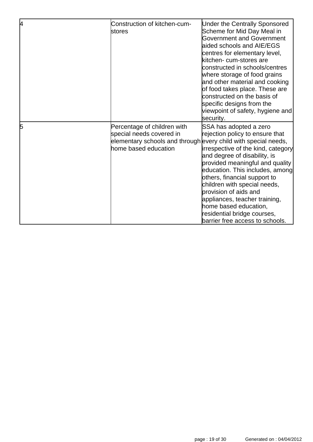| 4 | Construction of kitchen-cum-<br>stores                                                                                                            | <b>Under the Centrally Sponsored</b><br>Scheme for Mid Day Meal in<br><b>Government and Government</b><br>aided schools and AIE/EGS<br>centres for elementary level,<br>kitchen- cum-stores are<br>constructed in schools/centres<br>where storage of food grains<br>and other material and cooking<br>of food takes place. These are<br>constructed on the basis of<br>specific designs from the<br>viewpoint of safety, hygiene and<br>security. |
|---|---------------------------------------------------------------------------------------------------------------------------------------------------|----------------------------------------------------------------------------------------------------------------------------------------------------------------------------------------------------------------------------------------------------------------------------------------------------------------------------------------------------------------------------------------------------------------------------------------------------|
| 5 | Percentage of children with<br>special needs covered in<br>elementary schools and through every child with special needs,<br>home based education | SSA has adopted a zero<br>rejection policy to ensure that<br>irrespective of the kind, category<br>and degree of disability, is<br>provided meaningful and quality<br>education. This includes, among<br>others, financial support to<br>children with special needs,<br>provision of aids and<br>appliances, teacher training,<br>home based education,<br>residential bridge courses,<br>barrier free access to schools.                         |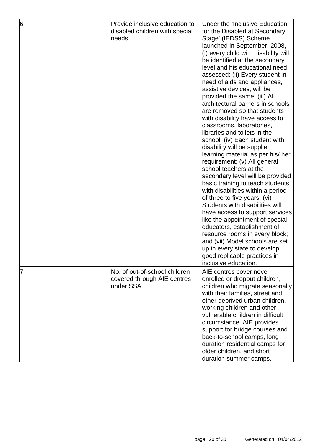| 6 | Provide inclusive education to<br>disabled children with special<br>needs | Under the 'Inclusive Education<br>for the Disabled at Secondary<br>Stage' (IEDSS) Scheme<br>launched in September, 2008,<br>(i) every child with disability will<br>be identified at the secondary<br>level and his educational need<br>assessed; (ii) Every student in<br>need of aids and appliances,<br>assistive devices, will be<br>provided the same; (iii) All<br>architectural barriers in schools<br>are removed so that students<br>with disability have access to<br>classrooms, laboratories,<br>libraries and toilets in the<br>school; (iv) Each student with<br>disability will be supplied<br>learning material as per his/ her<br>requirement; (v) All general<br>school teachers at the<br>secondary level will be provided<br>basic training to teach students<br>with disabilities within a period<br>of three to five years; (vi)<br>Students with disabilities will<br>have access to support services<br>like the appointment of special<br>educators, establishment of<br>resource rooms in every block;<br>and (vii) Model schools are set<br>up in every state to develop<br>good replicable practices in<br>inclusive education. |
|---|---------------------------------------------------------------------------|-------------------------------------------------------------------------------------------------------------------------------------------------------------------------------------------------------------------------------------------------------------------------------------------------------------------------------------------------------------------------------------------------------------------------------------------------------------------------------------------------------------------------------------------------------------------------------------------------------------------------------------------------------------------------------------------------------------------------------------------------------------------------------------------------------------------------------------------------------------------------------------------------------------------------------------------------------------------------------------------------------------------------------------------------------------------------------------------------------------------------------------------------------------|
| 7 | No. of out-of-school children<br>covered through AIE centres<br>under SSA | AIE centres cover never<br>enrolled or dropout children,<br>children who migrate seasonally<br>with their families, street and<br>other deprived urban children,<br>working children and other<br>vulnerable children in difficult<br>circumstance. AIE provides<br>support for bridge courses and<br>back-to-school camps, long<br>duration residential camps for<br>older children, and short<br>duration summer camps.                                                                                                                                                                                                                                                                                                                                                                                                                                                                                                                                                                                                                                                                                                                                   |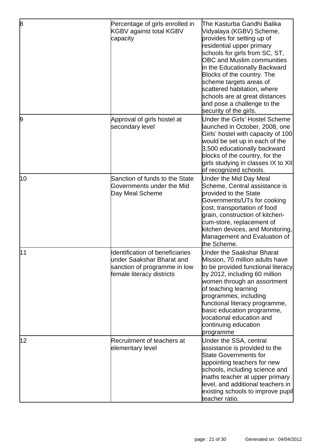| 8  | Percentage of girls enrolled in<br><b>KGBV against total KGBV</b><br>capacity                                             | The Kasturba Gandhi Balika<br>Vidyalaya (KGBV) Scheme,<br>provides for setting up of<br>residential upper primary<br>schools for girls from SC, ST,<br><b>OBC and Muslim communities</b><br>in the Educationally Backward<br>Blocks of the country. The<br>scheme targets areas of<br>scattered habitation, where<br>schools are at great distances<br>and pose a challenge to the<br>security of the girls. |
|----|---------------------------------------------------------------------------------------------------------------------------|--------------------------------------------------------------------------------------------------------------------------------------------------------------------------------------------------------------------------------------------------------------------------------------------------------------------------------------------------------------------------------------------------------------|
| 9  | Approval of girls hostel at<br>secondary level                                                                            | Under the Girls' Hostel Scheme<br>launched in October, 2008, one<br>Girls' hostel with capacity of 100<br>would be set up in each of the<br>3,500 educationally backward<br>blocks of the country, for the<br>girls studying in classes IX to XII<br>of recognized schools.                                                                                                                                  |
| 10 | Sanction of funds to the State<br>Governments under the Mid<br>Day Meal Scheme                                            | Under the Mid Day Meal<br>Scheme, Central assistance is<br>provided to the State<br>Governments/UTs for cooking<br>cost, transportation of food<br>grain, construction of kitchen-<br>cum-store, replacement of<br>kitchen devices, and Monitoring,<br>Management and Evaluation of<br>the Scheme.                                                                                                           |
| 11 | Identification of beneficiaries<br>under Saakshar Bharat and<br>sanction of programme in low<br>female literacy districts | Under the Saakshar Bharat<br>Mission, 70 million adults have<br>to be provided functional literacy<br>by 2012, including 60 million<br>women through an assortment<br>of teaching learning<br>programmes, including<br>functional literacy programme,<br>basic education programme,<br>vocational education and<br>continuing education<br>programme                                                         |
| 12 | Recruitment of teachers at<br>elementary level                                                                            | Under the SSA, central<br>assistance is provided to the<br><b>State Governments for</b><br>appointing teachers for new<br>schools, including science and<br>maths teacher at upper primary<br>level, and additional teachers in<br>existing schools to improve pupil<br>teacher ratio.                                                                                                                       |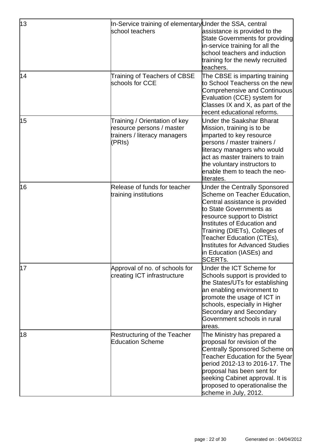| 13 | In-Service training of elementary Under the SSA, central                                             |                                                                                                                                                                                                                                                                                                                                                        |
|----|------------------------------------------------------------------------------------------------------|--------------------------------------------------------------------------------------------------------------------------------------------------------------------------------------------------------------------------------------------------------------------------------------------------------------------------------------------------------|
|    | school teachers                                                                                      | assistance is provided to the<br>State Governments for providing<br>in-service training for all the<br>school teachers and induction<br>training for the newly recruited<br>teachers.                                                                                                                                                                  |
| 14 | Training of Teachers of CBSE<br>schools for CCE                                                      | The CBSE is imparting training<br>to School Teacherss on the new<br>Comprehensive and Continuous<br>Evaluation (CCE) system for<br>Classes IX and X, as part of the<br>recent educational reforms.                                                                                                                                                     |
| 15 | Training / Orientation of key<br>resource persons / master<br>trainers / literacy managers<br>(PRIs) | <b>Under the Saakshar Bharat</b><br>Mission, training is to be<br>imparted to key resource<br>persons / master trainers /<br>literacy managers who would<br>act as master trainers to train<br>the voluntary instructors to<br>enable them to teach the neo-<br>literates.                                                                             |
| 16 | Release of funds for teacher<br>training institutions                                                | <b>Under the Centrally Sponsored</b><br>Scheme on Teacher Education,<br>Central assistance is provided<br>to State Governments as<br>resource support to District<br><b>Institutes of Education and</b><br>Training (DIETs), Colleges of<br>Teacher Education (CTEs),<br><b>Institutes for Advanced Studies</b><br>in Education (IASEs) and<br>SCERTs. |
| 17 | Approval of no. of schools for<br>creating ICT infrastructure                                        | Under the ICT Scheme for<br>Schools support is provided to<br>the States/UTs for establishing<br>an enabling environment to<br>promote the usage of ICT in<br>schools, especially in Higher<br><b>Secondary and Secondary</b><br>Government schools in rural<br>areas.                                                                                 |
| 18 | <b>Restructuring of the Teacher</b><br><b>Education Scheme</b>                                       | The Ministry has prepared a<br>proposal for revision of the<br>Centrally Sponsored Scheme on<br>Teacher Education for the 5year<br>period 2012-13 to 2016-17. The<br>proposal has been sent for<br>seeking Cabinet approval. It is<br>proposed to operationalise the<br>scheme in July, 2012.                                                          |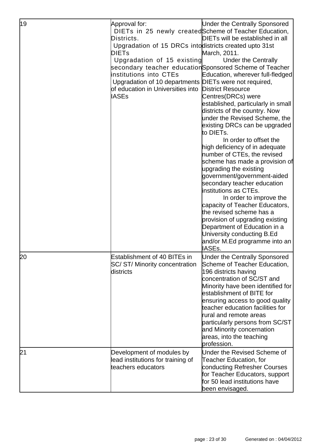| 19 | Approval for:<br>DIETs in 25 newly created Scheme of Teacher Education,<br>Districts.<br>Upgradation of 15 DRCs into districts created upto 31st<br><b>DIETs</b><br>Upgradation of 15 existing<br>secondary teacher educationSponsored Scheme of Teacher<br>institutions into CTEs<br>Upgradation of 10 departments DIETs were not required,<br>of education in Universities into<br><b>IASEs</b> | <b>Under the Centrally Sponsored</b><br>DIETs will be established in all<br>March, 2011.<br><b>Under the Centrally</b><br>Education, wherever full-fledged<br><b>District Resource</b><br>Centres(DRCs) were<br>established, particularly in small<br>districts of the country. Now<br>under the Revised Scheme, the<br>existing DRCs can be upgraded<br>to DIETs.<br>In order to offset the<br>high deficiency of in adequate<br>number of CTEs, the revised<br>scheme has made a provision of<br>upgrading the existing<br>government/government-aided<br>secondary teacher education<br>institutions as CTEs.<br>In order to improve the<br>capacity of Teacher Educators,<br>the revised scheme has a<br>provision of upgrading existing<br>Department of Education in a<br>University conducting B.Ed<br>and/or M.Ed programme into an<br><b>IASEs.</b> |
|----|---------------------------------------------------------------------------------------------------------------------------------------------------------------------------------------------------------------------------------------------------------------------------------------------------------------------------------------------------------------------------------------------------|--------------------------------------------------------------------------------------------------------------------------------------------------------------------------------------------------------------------------------------------------------------------------------------------------------------------------------------------------------------------------------------------------------------------------------------------------------------------------------------------------------------------------------------------------------------------------------------------------------------------------------------------------------------------------------------------------------------------------------------------------------------------------------------------------------------------------------------------------------------|
| 20 | <b>Establishment of 40 BITEs in</b><br>SC/ST/Minority concentration<br>districts                                                                                                                                                                                                                                                                                                                  | <b>Under the Centrally Sponsored</b><br>Scheme of Teacher Education,<br>196 districts having<br>concentration of SC/ST and<br>Minority have been identified for<br>establishment of BITE for<br>ensuring access to good quality<br>teacher education facilities for<br>rural and remote areas<br>particularly persons from SC/ST<br>and Minority concernation<br>areas, into the teaching<br>profession.                                                                                                                                                                                                                                                                                                                                                                                                                                                     |
| 21 | Development of modules by<br>lead institutions for training of<br>teachers educators                                                                                                                                                                                                                                                                                                              | Under the Revised Scheme of<br>Teacher Education, for<br>conducting Refresher Courses<br>for Teacher Educators, support<br>for 50 lead institutions have<br>been envisaged.                                                                                                                                                                                                                                                                                                                                                                                                                                                                                                                                                                                                                                                                                  |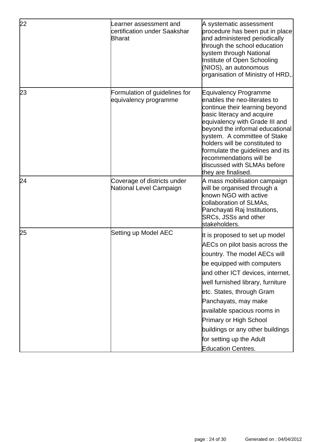| 22 | earner assessment and<br>certification under Saakshar<br><b>Bharat</b> | A systematic assessment<br>procedure has been put in place<br>and administered periodically<br>through the school education<br>system through National<br>Institute of Open Schooling<br>(NIOS), an autonomous<br>organisation of Ministry of HRD,.                                                                                                                                                                       |
|----|------------------------------------------------------------------------|---------------------------------------------------------------------------------------------------------------------------------------------------------------------------------------------------------------------------------------------------------------------------------------------------------------------------------------------------------------------------------------------------------------------------|
| 23 | Formulation of guidelines for<br>equivalency programme                 | <b>Equivalency Programme</b><br>enables the neo-literates to<br>continue their learning beyond<br>basic literacy and acquire<br>equivalency with Grade III and<br>beyond the informal educational<br>system. A committee of Stake<br>holders will be constituted to<br>formulate the guidelines and its<br>recommendations will be<br>discussed with SLMAs before<br>they are finalised.                                  |
| 24 | Coverage of districts under<br>National Level Campaign                 | A mass mobilisation campaign<br>will be organised through a<br>known NGO with active<br>collaboration of SLMAs,<br>Panchayati Raj Institutions,<br><b>SRCs, JSSs and other</b><br>stakeholders.                                                                                                                                                                                                                           |
| 25 | Setting up Model AEC                                                   | It is proposed to set up model<br>AECs on pilot basis across the<br>country. The model AECs will<br>be equipped with computers<br>and other ICT devices, internet,<br>well furnished library, furniture<br>etc. States, through Gram<br>Panchayats, may make<br>available spacious rooms in<br><b>Primary or High School</b><br>buildings or any other buildings<br>for setting up the Adult<br><b>Education Centres.</b> |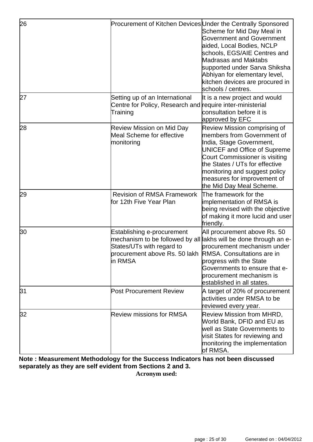| 26  | Procurement of Kitchen Devices Under the Centrally Sponsored                                                                                  | Scheme for Mid Day Meal in<br><b>Government and Government</b><br>aided, Local Bodies, NCLP<br>schools, EGS/AIE Centres and<br>Madrasas and Maktabs<br>supported under Sarva Shiksha<br>Abhiyan for elementary level,<br>kitchen devices are procured in<br>schools / centres.                       |
|-----|-----------------------------------------------------------------------------------------------------------------------------------------------|------------------------------------------------------------------------------------------------------------------------------------------------------------------------------------------------------------------------------------------------------------------------------------------------------|
| 27  | Setting up of an International<br>Centre for Policy, Research and<br>Training                                                                 | It is a new project and would<br>require inter-ministerial<br>consultation before it is<br>approved by EFC                                                                                                                                                                                           |
| 28  | <b>Review Mission on Mid Day</b><br><b>Meal Scheme for effective</b><br>monitoring                                                            | Review Mission comprising of<br>members from Government of<br>India, Stage Government,<br><b>UNICEF and Office of Supreme</b><br><b>Court Commissioner is visiting</b><br>the States / UTs for effective<br>monitoring and suggest policy<br>measures for improvement of<br>the Mid Day Meal Scheme. |
| 29  | <b>Revision of RMSA Framework</b><br>for 12th Five Year Plan                                                                                  | The framework for the<br>implementation of RMSA is<br>being revised with the objective<br>of making it more lucid and user<br>friendly.                                                                                                                                                              |
| l30 | <b>Establishing e-procurement</b><br>States/UTs with regard to<br>procurement above Rs. 50 lakh RMSA. Consultations are in<br><b>i</b> n RMSA | All procurement above Rs. 50<br>mechanism to be followed by all lakhs will be done through an e-<br>procurement mechanism under<br>progress with the State<br>Governments to ensure that e-<br>procurement mechanism is<br>established in all states.                                                |
| 31  | <b>Post Procurement Review</b>                                                                                                                | A target of 20% of procurement<br>activities under RMSA to be<br>reviewed every year.                                                                                                                                                                                                                |
| 32  | <b>Review missions for RMSA</b>                                                                                                               | <b>Review Mission from MHRD,</b><br>World Bank, DFID and EU as<br>well as State Governments to<br>visit States for reviewing and<br>monitoring the implementation<br>of RMSA.                                                                                                                        |

#### **Note : Measurement Methodology for the Success Indicators has not been discussed separately as they are self evident from Sections 2 and 3. Acronym used:**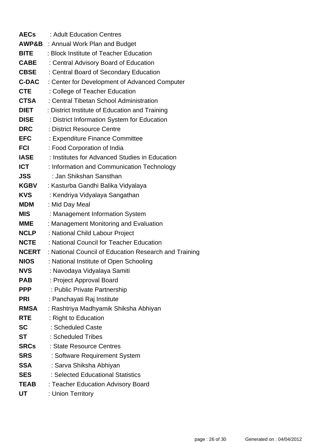| <b>AECs</b>  | : Adult Education Centres                             |
|--------------|-------------------------------------------------------|
|              | <b>AWP&amp;B</b> : Annual Work Plan and Budget        |
| <b>BITE</b>  | : Block Institute of Teacher Education                |
| <b>CABE</b>  | : Central Advisory Board of Education                 |
| <b>CBSE</b>  | : Central Board of Secondary Education                |
| <b>C-DAC</b> | : Center for Development of Advanced Computer         |
| <b>CTE</b>   | : College of Teacher Education                        |
| <b>CTSA</b>  | : Central Tibetan School Administration               |
| <b>DIET</b>  | : District Institute of Education and Training        |
| <b>DISE</b>  | : District Information System for Education           |
| <b>DRC</b>   | : District Resource Centre                            |
| <b>EFC</b>   | : Expenditure Finance Committee                       |
| <b>FCI</b>   | : Food Corporation of India                           |
| <b>IASE</b>  | : Institutes for Advanced Studies in Education        |
| <b>ICT</b>   | : Information and Communication Technology            |
| JSS          | : Jan Shikshan Sansthan                               |
| <b>KGBV</b>  | : Kasturba Gandhi Balika Vidyalaya                    |
| <b>KVS</b>   | : Kendriya Vidyalaya Sangathan                        |
| <b>MDM</b>   | : Mid Day Meal                                        |
| MIS          | : Management Information System                       |
| <b>MME</b>   | : Management Monitoring and Evaluation                |
| <b>NCLP</b>  | : National Child Labour Project                       |
| <b>NCTE</b>  | : National Council for Teacher Education              |
| <b>NCERT</b> | : National Council of Education Research and Training |
| <b>NIOS</b>  | : National Institute of Open Schooling                |
| <b>NVS</b>   | : Navodaya Vidyalaya Samiti                           |
| <b>PAB</b>   | : Project Approval Board                              |
| <b>PPP</b>   | : Public Private Partnership                          |
| PRI          | : Panchayati Raj Institute                            |
| <b>RMSA</b>  | : Rashtriya Madhyamik Shiksha Abhiyan                 |
| <b>RTE</b>   | : Right to Education                                  |
| <b>SC</b>    | : Scheduled Caste                                     |
| <b>ST</b>    | : Scheduled Tribes                                    |
| <b>SRCs</b>  | : State Resource Centres                              |
| <b>SRS</b>   | : Software Requirement System                         |
| <b>SSA</b>   | : Sarva Shiksha Abhiyan                               |
| <b>SES</b>   | : Selected Educational Statistics                     |
| <b>TEAB</b>  | : Teacher Education Advisory Board                    |
| UT           | : Union Territory                                     |
|              |                                                       |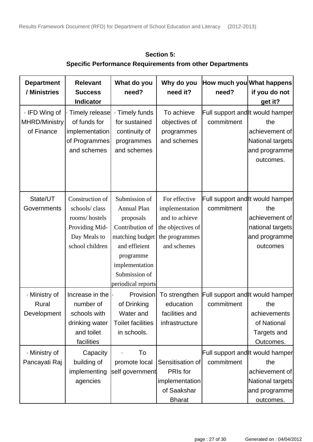| <b>Department</b><br>/ Ministries                   | <b>Relevant</b><br><b>Success</b><br><b>Indicator</b>                                                  | What do you<br>need?                                                                                                                                                          | Why do you<br>need it?                                                                                  | How much you What happens<br>need?             | if you do not<br>get it?                                                                                         |
|-----------------------------------------------------|--------------------------------------------------------------------------------------------------------|-------------------------------------------------------------------------------------------------------------------------------------------------------------------------------|---------------------------------------------------------------------------------------------------------|------------------------------------------------|------------------------------------------------------------------------------------------------------------------|
| · IFD Wing of<br><b>MHRD/Ministry</b><br>of Finance | Timely release<br>of funds for<br>implementation<br>of Programmes<br>and schemes                       | · Timely funds<br>for sustained<br>continuity of<br>programmes<br>and schemes                                                                                                 | To achieve<br>objectives of<br>programmes<br>and schemes                                                | commitment                                     | Full support and it would hamper<br>the<br>achievement of<br>National targets<br>and programme<br>outcomes.      |
| State/UT<br>Governments                             | Construction of<br>schools/class<br>rooms/hostels<br>Providing Mid-<br>Day Meals to<br>school children | Submission of<br><b>Annual Plan</b><br>proposals<br>Contribution of<br>matching budget<br>and efficient<br>programme<br>implementation<br>Submission of<br>periodical reports | For effective<br>implementation<br>and to achieve<br>the objectives of<br>the programmes<br>and schemes | commitment                                     | Full support and it would hamper<br>the<br>achievement of<br>national targets<br>and programme<br>outcomes       |
| · Ministry of<br>Rural<br>Development               | Increase in the<br>number of<br>schools with<br>drinking water<br>and toilet<br>facilities             | Provision<br>of Drinking<br>Water and<br><b>Toilet facilities</b><br>in schools.                                                                                              | education<br>facilities and<br>infrastructure                                                           | commitment                                     | To strengthen Full support and It would hamper<br>the<br>achievements<br>of National<br>Targets and<br>Outcomes. |
| · Ministry of<br>Pancayati Raj                      | Capacity<br>building of<br>implementing<br>agencies                                                    | To<br>promote local<br>self government                                                                                                                                        | Sensitisation of<br>PRIs for<br>implementation<br>of Saakshar<br><b>Bharat</b>                          | Full support and it would hamper<br>commitment | the<br>achievement of<br>National targets<br>and programme<br>outcomes.                                          |

 **Section 5: Specific Performance Requirements from other Departments**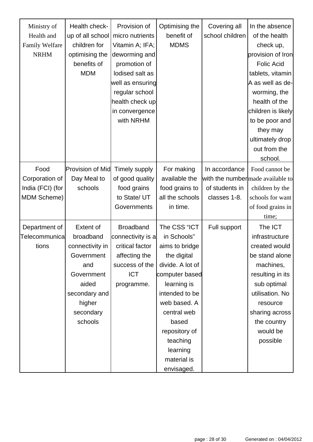| Ministry of<br>Health and<br>Family Welfare<br><b>NRHM</b> | Health check-<br>up of all school<br>children for<br>optimising the<br>benefits of<br><b>MDM</b> | Provision of<br>micro nutrients<br>Vitamin A; IFA;<br>deworming and<br>promotion of<br>lodised salt as<br>well as ensuring<br>regular school<br>health check up<br>in convergence<br>with NRHM | Optimising the<br>benefit of<br><b>MDMS</b> | Covering all<br>school children | In the absence<br>of the health<br>check up,<br>provision of Iron<br><b>Folic Acid</b><br>tablets, vitamin<br>A as well as de-<br>worming, the<br>health of the<br>children is likely<br>to be poor and<br>they may<br>ultimately drop |  |
|------------------------------------------------------------|--------------------------------------------------------------------------------------------------|------------------------------------------------------------------------------------------------------------------------------------------------------------------------------------------------|---------------------------------------------|---------------------------------|----------------------------------------------------------------------------------------------------------------------------------------------------------------------------------------------------------------------------------------|--|
|                                                            |                                                                                                  |                                                                                                                                                                                                |                                             |                                 | out from the<br>school.                                                                                                                                                                                                                |  |
| Food                                                       | <b>Provision of Mid</b>                                                                          | Timely supply                                                                                                                                                                                  | For making                                  | In accordance                   | Food cannot be                                                                                                                                                                                                                         |  |
| Corporation of                                             | Day Meal to                                                                                      | of good quality                                                                                                                                                                                | available the                               |                                 | with the number made available to                                                                                                                                                                                                      |  |
| India (FCI) (for                                           | schools                                                                                          | food grains                                                                                                                                                                                    | food grains to                              | of students in                  | children by the                                                                                                                                                                                                                        |  |
| <b>MDM Scheme)</b>                                         |                                                                                                  | to State/ UT                                                                                                                                                                                   | all the schools                             | classes 1-8.                    | schools for want                                                                                                                                                                                                                       |  |
|                                                            |                                                                                                  | Governments                                                                                                                                                                                    | in time.                                    |                                 | of food grains in                                                                                                                                                                                                                      |  |
|                                                            |                                                                                                  |                                                                                                                                                                                                |                                             |                                 | time;                                                                                                                                                                                                                                  |  |
| Department of                                              | <b>Extent of</b>                                                                                 | <b>Broadband</b>                                                                                                                                                                               | The CSS "ICT                                | Full support                    | The ICT                                                                                                                                                                                                                                |  |
| Telecommunical                                             | broadband                                                                                        | connectivity is a                                                                                                                                                                              | in Schools"                                 |                                 | infrastructure                                                                                                                                                                                                                         |  |
| tions                                                      | connectivity in                                                                                  | critical factor                                                                                                                                                                                | aims to bridge                              |                                 | created would                                                                                                                                                                                                                          |  |
|                                                            | Government                                                                                       | affecting the                                                                                                                                                                                  | the digital                                 |                                 | be stand alone                                                                                                                                                                                                                         |  |
|                                                            | and                                                                                              | success of the                                                                                                                                                                                 | divide. A lot of                            |                                 | machines,                                                                                                                                                                                                                              |  |
|                                                            | Government                                                                                       | <b>ICT</b>                                                                                                                                                                                     | computer based                              |                                 | resulting in its                                                                                                                                                                                                                       |  |
|                                                            | aided                                                                                            | programme.                                                                                                                                                                                     | learning is                                 |                                 | sub optimal                                                                                                                                                                                                                            |  |
|                                                            | secondary and                                                                                    |                                                                                                                                                                                                | intended to be                              |                                 | utilisation. No                                                                                                                                                                                                                        |  |
|                                                            | higher                                                                                           |                                                                                                                                                                                                | web based. A                                |                                 | resource                                                                                                                                                                                                                               |  |
|                                                            | secondary                                                                                        |                                                                                                                                                                                                | central web                                 |                                 | sharing across                                                                                                                                                                                                                         |  |
|                                                            | schools                                                                                          |                                                                                                                                                                                                | based                                       |                                 | the country                                                                                                                                                                                                                            |  |
|                                                            |                                                                                                  |                                                                                                                                                                                                | repository of                               |                                 | would be                                                                                                                                                                                                                               |  |
|                                                            |                                                                                                  |                                                                                                                                                                                                | teaching                                    |                                 | possible                                                                                                                                                                                                                               |  |
|                                                            |                                                                                                  |                                                                                                                                                                                                | learning                                    |                                 |                                                                                                                                                                                                                                        |  |
|                                                            |                                                                                                  |                                                                                                                                                                                                | material is                                 |                                 |                                                                                                                                                                                                                                        |  |
|                                                            |                                                                                                  |                                                                                                                                                                                                | envisaged.                                  |                                 |                                                                                                                                                                                                                                        |  |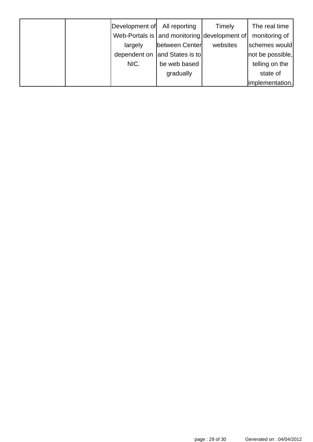|  | Development of | All reporting                                    | Timely   | The real time    |
|--|----------------|--------------------------------------------------|----------|------------------|
|  |                | Web-Portals is   and monitoring   development of |          | monitoring of    |
|  | largely        | between Center                                   | websites | schemes would    |
|  |                | dependent on and States is to                    |          | not be possible, |
|  | NIC.           | be web based                                     |          | telling on the   |
|  |                | gradually                                        |          | state of         |
|  |                |                                                  |          | implementation.  |